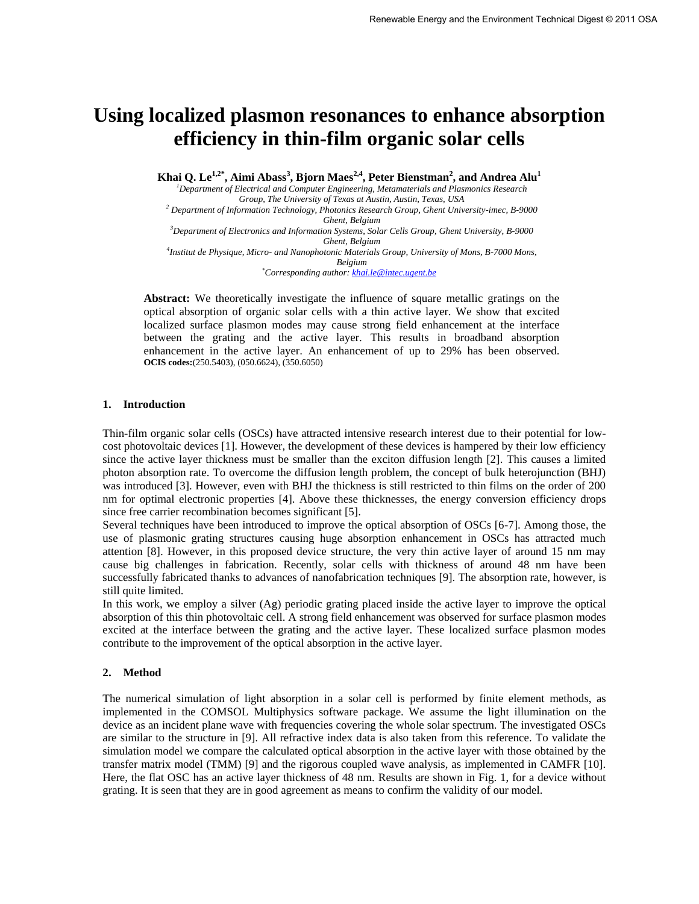# **Using localized plasmon resonances to enhance absorption efficiency in thin-film organic solar cells**

**Khai Q. Le1,2\*, Aimi Abass<sup>3</sup> , Bjorn Maes2,4, Peter Bienstman<sup>2</sup> , and Andrea Alu<sup>1</sup>**

*<sup>1</sup>Department of Electrical and Computer Engineering, Metamaterials and Plasmonics Research Group, The University of Texas at Austin, Austin, Texas, USA* 

*2 Department of Information Technology, Photonics Research Group, Ghent University-imec, B-9000 Ghent, Belgium* 

*<sup>3</sup>Department of Electronics and Information Systems, Solar Cells Group, Ghent University, B-9000 Ghent, Belgium 4 Institut de Physique, Micro- and Nanophotonic Materials Group, University of Mons, B-7000 Mons, Belgium* 

*\*Corresponding author[: khai.le@intec.ugent.be](mailto:khai.le@intec.ugent.be)*

**Abstract:** We theoretically investigate the influence of square metallic gratings on the optical absorption of organic solar cells with a thin active layer. We show that excited localized surface plasmon modes may cause strong field enhancement at the interface between the grating and the active layer. This results in broadband absorption enhancement in the active layer. An enhancement of up to 29% has been observed. **OCIS codes:**(250.5403), (050.6624), (350.6050)

## **1. Introduction**

Thin-film organic solar cells (OSCs) have attracted intensive research interest due to their potential for lowcost photovoltaic devices [1]. However, the development of these devices is hampered by their low efficiency since the active layer thickness must be smaller than the exciton diffusion length [2]. This causes a limited photon absorption rate. To overcome the diffusion length problem, the concept of bulk heterojunction (BHJ) was introduced [3]. However, even with BHJ the thickness is still restricted to thin films on the order of 200 nm for optimal electronic properties [4]. Above these thicknesses, the energy conversion efficiency drops since free carrier recombination becomes significant [5].

Several techniques have been introduced to improve the optical absorption of OSCs [6-7]. Among those, the use of plasmonic grating structures causing huge absorption enhancement in OSCs has attracted much attention [8]. However, in this proposed device structure, the very thin active layer of around 15 nm may cause big challenges in fabrication. Recently, solar cells with thickness of around 48 nm have been successfully fabricated thanks to advances of nanofabrication techniques [9]. The absorption rate, however, is still quite limited.

In this work, we employ a silver (Ag) periodic grating placed inside the active layer to improve the optical absorption of this thin photovoltaic cell. A strong field enhancement was observed for surface plasmon modes excited at the interface between the grating and the active layer. These localized surface plasmon modes contribute to the improvement of the optical absorption in the active layer.

## **2. Method**

The numerical simulation of light absorption in a solar cell is performed by finite element methods, as implemented in the COMSOL Multiphysics software package. We assume the light illumination on the device as an incident plane wave with frequencies covering the whole solar spectrum. The investigated OSCs are similar to the structure in [9]. All refractive index data is also taken from this reference. To validate the simulation model we compare the calculated optical absorption in the active layer with those obtained by the transfer matrix model (TMM) [9] and the rigorous coupled wave analysis, as implemented in CAMFR [10]. Here, the flat OSC has an active layer thickness of 48 nm. Results are shown in Fig. 1, for a device without grating. It is seen that they are in good agreement as means to confirm the validity of our model.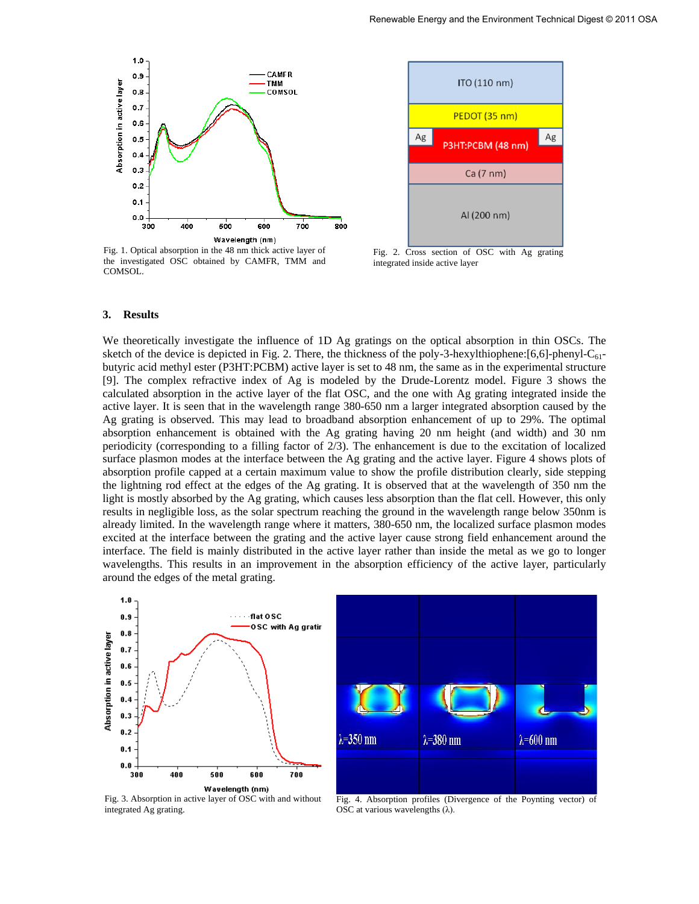

Fig. 1. Optical absorption in the 48 nm thick active layer of the investigated OSC obtained by CAMFR, TMM and COMSOL.



Fig. 2. Cross section of OSC with Ag grating integrated inside active layer

#### **3. Results**

We theoretically investigate the influence of 1D Ag gratings on the optical absorption in thin OSCs. The sketch of the device is depicted in Fig. 2. There, the thickness of the poly-3-hexylthiophene: $[6,6]$ -phenyl-C<sub>61</sub>butyric acid methyl ester (P3HT:PCBM) active layer is set to 48 nm, the same as in the experimental structure [9]. The complex refractive index of Ag is modeled by the Drude-Lorentz model. Figure 3 shows the calculated absorption in the active layer of the flat OSC, and the one with Ag grating integrated inside the active layer. It is seen that in the wavelength range 380-650 nm a larger integrated absorption caused by the Ag grating is observed. This may lead to broadband absorption enhancement of up to 29%. The optimal absorption enhancement is obtained with the Ag grating having 20 nm height (and width) and 30 nm periodicity (corresponding to a filling factor of 2/3). The enhancement is due to the excitation of localized surface plasmon modes at the interface between the Ag grating and the active layer. Figure 4 shows plots of absorption profile capped at a certain maximum value to show the profile distribution clearly, side stepping the lightning rod effect at the edges of the Ag grating. It is observed that at the wavelength of 350 nm the light is mostly absorbed by the Ag grating, which causes less absorption than the flat cell. However, this only results in negligible loss, as the solar spectrum reaching the ground in the wavelength range below 350nm is already limited. In the wavelength range where it matters, 380-650 nm, the localized surface plasmon modes excited at the interface between the grating and the active layer cause strong field enhancement around the interface. The field is mainly distributed in the active layer rather than inside the metal as we go to longer wavelengths. This results in an improvement in the absorption efficiency of the active layer, particularly around the edges of the metal grating.



 $\lambda = 350$  nm  $\lambda = 380$  nm  $\lambda = 600$  nm

Fig. 3. Absorption in active layer of OSC with and without integrated Ag grating.

Fig. 4. Absorption profiles (Divergence of the Poynting vector) of OSC at various wavelengths  $(\lambda)$ .